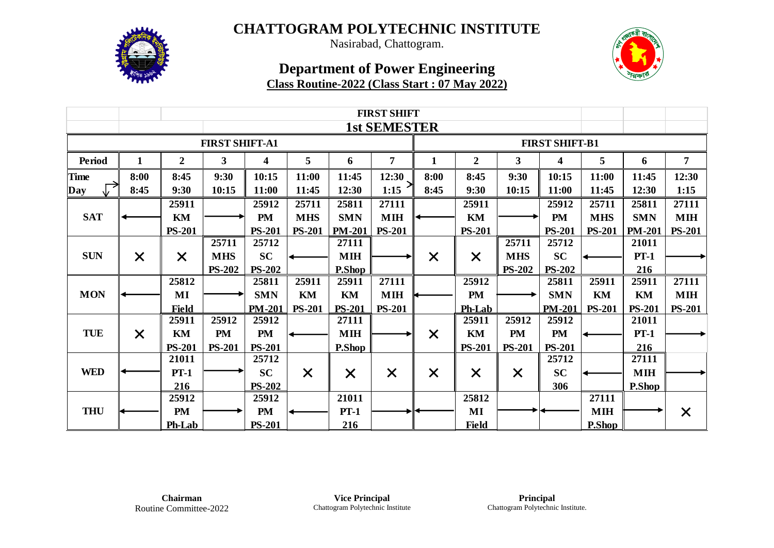

Nasirabad, Chattogram.

## **Department of Power Engineering Class Routine-2022 (Class Start : 07 May 2022)**

|                       | <b>FIRST SHIFT</b> |                  |               |                         |               |               |                     |              |                       |               |                         |               |               |                |  |  |  |
|-----------------------|--------------------|------------------|---------------|-------------------------|---------------|---------------|---------------------|--------------|-----------------------|---------------|-------------------------|---------------|---------------|----------------|--|--|--|
|                       |                    |                  |               |                         |               |               | <b>1st SEMESTER</b> |              |                       |               |                         |               |               |                |  |  |  |
| <b>FIRST SHIFT-A1</b> |                    |                  |               |                         |               |               |                     |              | <b>FIRST SHIFT-B1</b> |               |                         |               |               |                |  |  |  |
| <b>Period</b>         | $\mathbf{1}$       | $\boldsymbol{2}$ | $\mathbf{3}$  | $\overline{\mathbf{4}}$ | 5             | 6             | $\overline{7}$      | $\mathbf{1}$ | $\overline{2}$        | $\mathbf{3}$  | $\overline{\mathbf{4}}$ | 5             | 6             | $\overline{7}$ |  |  |  |
| <b>Time</b>           | 8:00               | 8:45             | 9:30          | 10:15                   | 11:00         | 11:45         | 12:30               | 8:00         | 8:45                  | 9:30          | 10:15                   | 11:00         | 11:45         | 12:30          |  |  |  |
| Day                   | 8:45               | 9:30             | 10:15         | 11:00                   | 11:45         | 12:30         | 1:15                | 8:45         | 9:30                  | 10:15         | 11:00                   | 11:45         | 12:30         | 1:15           |  |  |  |
|                       |                    | 25911            |               | 25912                   | 25711         | 25811         | 27111               |              | 25911                 |               | 25912                   | 25711         | 25811         | 27111          |  |  |  |
| <b>SAT</b>            |                    | KM               |               | <b>PM</b>               | <b>MHS</b>    | <b>SMN</b>    | <b>MIH</b>          |              | KM                    |               | <b>PM</b>               | <b>MHS</b>    | <b>SMN</b>    | <b>MIH</b>     |  |  |  |
|                       |                    | <b>PS-201</b>    |               | <b>PS-201</b>           | <b>PS-201</b> | <b>PM-201</b> | <b>PS-201</b>       |              | <b>PS-201</b>         |               | <b>PS-201</b>           | <b>PS-201</b> | <b>PM-201</b> | <b>PS-201</b>  |  |  |  |
|                       |                    |                  | 25711         | 25712                   |               | 27111         |                     |              |                       | 25711         | 25712                   |               | 21011         |                |  |  |  |
| <b>SUN</b>            | $\times$           | $\times$         | <b>MHS</b>    | <b>SC</b>               |               | <b>MIH</b>    |                     | $\times$     | $\times$              | <b>MHS</b>    | <b>SC</b>               |               | $PT-1$        |                |  |  |  |
|                       |                    |                  | <b>PS-202</b> | <b>PS-202</b>           |               | P.Shop        |                     |              |                       | <b>PS-202</b> | <b>PS-202</b>           |               | 216           |                |  |  |  |
|                       |                    | 25812            |               | 25811                   | 25911         | 25911         | 27111               |              | 25912                 |               | 25811                   | 25911         | 25911         | 27111          |  |  |  |
| <b>MON</b>            |                    | MI               |               | <b>SMN</b>              | KM            | KM            | <b>MIH</b>          |              | <b>PM</b>             |               | <b>SMN</b>              | KM            | KM            | <b>MIH</b>     |  |  |  |
|                       |                    | <b>Field</b>     |               | <b>PM-201</b>           | <b>PS-201</b> | <b>PS-201</b> | <b>PS-201</b>       |              | Ph-Lab                |               | <b>PM-201</b>           | <b>PS-201</b> | <b>PS-201</b> | <b>PS-201</b>  |  |  |  |
|                       |                    | 25911            | 25912         | 25912                   |               | 27111         |                     |              | 25911                 | 25912         | 25912                   |               | 21011         |                |  |  |  |
| <b>TUE</b>            | $\times$           | KM               | <b>PM</b>     | PM                      |               | $\mathbf{MH}$ |                     | $\times$     | KM                    | <b>PM</b>     | <b>PM</b>               |               | $PT-1$        |                |  |  |  |
|                       |                    | <b>PS-201</b>    | <b>PS-201</b> | <b>PS-201</b>           |               | P.Shop        |                     |              | <b>PS-201</b>         | <b>PS-201</b> | <b>PS-201</b>           |               | 216           |                |  |  |  |
|                       |                    | 21011            |               | 25712                   |               |               |                     |              |                       |               | 25712                   |               | 27111         |                |  |  |  |
| <b>WED</b>            |                    | $PT-1$           |               | <b>SC</b>               | $\times$      | $\times$      | $\times$            | $\times$     | $\times$              | $\times$      | <b>SC</b>               |               | <b>MIH</b>    |                |  |  |  |
|                       |                    | 216              |               | <b>PS-202</b>           |               |               |                     |              |                       |               | 306                     |               | P.Shop        |                |  |  |  |
|                       |                    | 25912            |               | 25912                   |               | 21011         |                     |              | 25812                 |               |                         | 27111         |               |                |  |  |  |
| <b>THU</b>            |                    | <b>PM</b>        |               | <b>PM</b>               |               | $PT-1$        |                     |              | $\bf{MI}$             |               |                         | <b>MIH</b>    |               | $\times$       |  |  |  |
|                       |                    | Ph-Lab           |               | <b>PS-201</b>           |               | 216           |                     |              | <b>Field</b>          |               |                         | P.Shop        |               |                |  |  |  |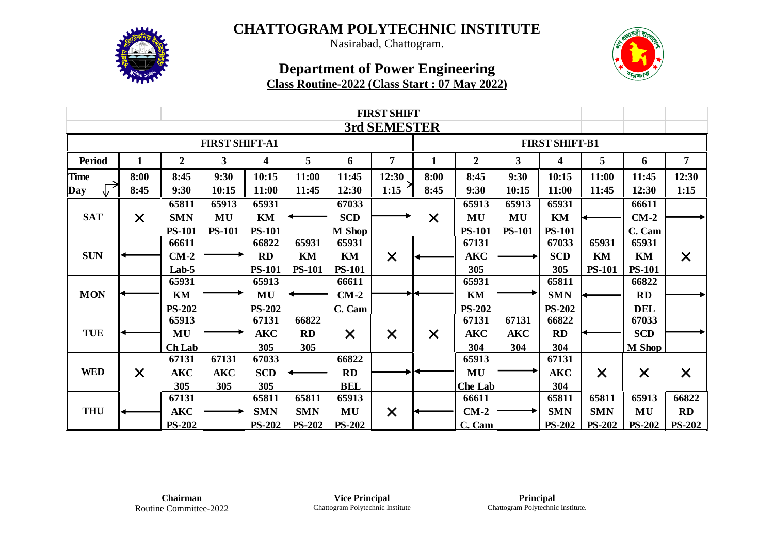

Nasirabad, Chattogram.

## **Department of Power Engineering Class Routine-2022 (Class Start : 07 May 2022)**

|                       | <b>FIRST SHIFT</b>        |                  |               |               |               |               |                |              |                       |               |               |               |               |                |  |  |
|-----------------------|---------------------------|------------------|---------------|---------------|---------------|---------------|----------------|--------------|-----------------------|---------------|---------------|---------------|---------------|----------------|--|--|
|                       |                           |                  |               |               |               |               | 3rd SEMESTER   |              |                       |               |               |               |               |                |  |  |
| <b>FIRST SHIFT-A1</b> |                           |                  |               |               |               |               |                |              | <b>FIRST SHIFT-B1</b> |               |               |               |               |                |  |  |
| Period                | $\mathbf{1}$              | $\boldsymbol{2}$ | $\mathbf{3}$  | 4             | 5             | 6             | $\overline{7}$ | $\mathbf{1}$ | $\boldsymbol{2}$      | $\mathbf{3}$  | 4             | 5             | 6             | $\overline{7}$ |  |  |
| <b>Time</b>           | 8:00                      | 8:45             | 9:30          | 10:15         | 11:00         | 11:45         | 12:30          | 8:00         | 8:45                  | 9:30          | 10:15         | 11:00         | 11:45         | 12:30          |  |  |
| Day                   | 8:45                      | 9:30             | 10:15         | 11:00         | 11:45         | 12:30         | 1:15           | 8:45         | 9:30                  | 10:15         | 11:00         | 11:45         | 12:30         | 1:15           |  |  |
|                       |                           | 65811            | 65913         | 65931         |               | 67033         |                |              | 65913                 | 65913         | 65931         |               | 66611         |                |  |  |
| <b>SAT</b>            | $\boldsymbol{\mathsf{X}}$ | <b>SMN</b>       | MU            | KM            |               | <b>SCD</b>    |                | $\times$     | MU                    | MU            | KM            |               | $CM-2$        |                |  |  |
|                       |                           | <b>PS-101</b>    | <b>PS-101</b> | <b>PS-101</b> |               | <b>M</b> Shop |                |              | <b>PS-101</b>         | <b>PS-101</b> | <b>PS-101</b> |               | C. Cam        |                |  |  |
|                       |                           | 66611            |               | 66822         | 65931         | 65931         |                |              | 67131                 |               | 67033         | 65931         | 65931         |                |  |  |
| <b>SUN</b>            |                           | $CM-2$           |               | <b>RD</b>     | KM            | KM            | $\times$       |              | <b>AKC</b>            |               | <b>SCD</b>    | KM            | KM            | $\times$       |  |  |
|                       |                           | Lab-5            |               | <b>PS-101</b> | <b>PS-101</b> | <b>PS-101</b> |                |              | 305                   |               | 305           | <b>PS-101</b> | <b>PS-101</b> |                |  |  |
|                       |                           | 65931            |               | 65913         |               | 66611         |                |              | 65931                 |               | 65811         |               | 66822         |                |  |  |
| <b>MON</b>            |                           | KM               |               | MU            |               | $CM-2$        |                |              | KM                    |               | <b>SMN</b>    |               | RD            |                |  |  |
|                       |                           | <b>PS-202</b>    |               | <b>PS-202</b> |               | C. Cam        |                |              | <b>PS-202</b>         |               | <b>PS-202</b> |               | <b>DEL</b>    |                |  |  |
|                       |                           | 65913            |               | 67131         | 66822         |               |                |              | 67131                 | 67131         | 66822         |               | 67033         |                |  |  |
| <b>TUE</b>            |                           | MU               |               | <b>AKC</b>    | <b>RD</b>     | $\sf X$       | $\times$       | $\times$     | <b>AKC</b>            | <b>AKC</b>    | RD            |               | <b>SCD</b>    |                |  |  |
|                       |                           | Ch Lab           |               | 305           | 305           |               |                |              | 304                   | 304           | 304           |               | <b>M</b> Shop |                |  |  |
|                       |                           | 67131            | 67131         | 67033         |               | 66822         |                |              | 65913                 |               | 67131         |               |               |                |  |  |
| <b>WED</b>            | $\times$                  | <b>AKC</b>       | <b>AKC</b>    | <b>SCD</b>    |               | RD            |                |              | MU                    |               | <b>AKC</b>    | $\times$      | $\times$      | $\times$       |  |  |
|                       |                           | 305              | 305           | 305           |               | <b>BEL</b>    |                |              | <b>Che Lab</b>        |               | 304           |               |               |                |  |  |
|                       |                           | 67131            |               | 65811         | 65811         | 65913         |                |              | 66611                 |               | 65811         | 65811         | 65913         | 66822          |  |  |
| <b>THU</b>            |                           | <b>AKC</b>       |               | <b>SMN</b>    | <b>SMN</b>    | MU            | $\times$       |              | $CM-2$                |               | <b>SMN</b>    | <b>SMN</b>    | MU            | <b>RD</b>      |  |  |
|                       |                           | <b>PS-202</b>    |               | <b>PS-202</b> | <b>PS-202</b> | <b>PS-202</b> |                |              | C. Cam                |               | <b>PS-202</b> | <b>PS-202</b> | <b>PS-202</b> | <b>PS-202</b>  |  |  |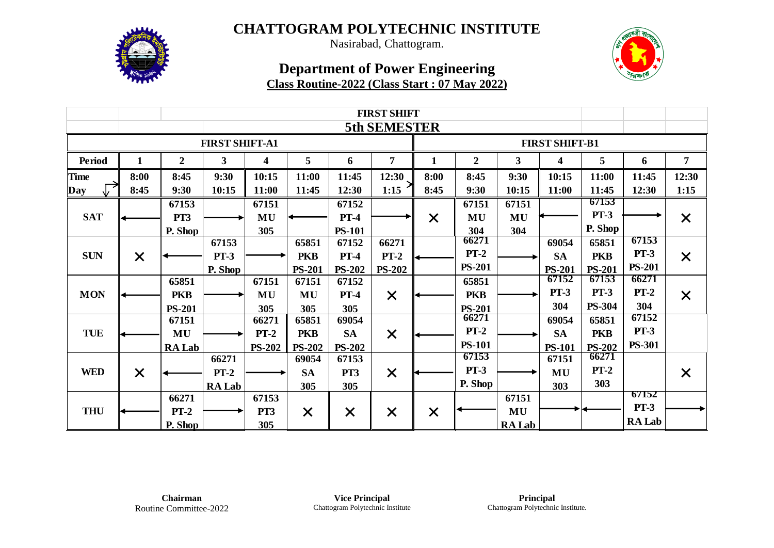

Nasirabad, Chattogram.

## **Department of Power Engineering Class Routine-2022 (Class Start : 07 May 2022)**

|                       | <b>FIRST SHIFT</b> |                  |               |                         |               |               |                     |              |                        |               |               |                        |               |                |  |  |
|-----------------------|--------------------|------------------|---------------|-------------------------|---------------|---------------|---------------------|--------------|------------------------|---------------|---------------|------------------------|---------------|----------------|--|--|
|                       |                    |                  |               |                         |               |               | <b>5th SEMESTER</b> |              |                        |               |               |                        |               |                |  |  |
| <b>FIRST SHIFT-A1</b> |                    |                  |               |                         |               |               |                     |              | <b>FIRST SHIFT-B1</b>  |               |               |                        |               |                |  |  |
| <b>Period</b>         | 1                  | $\boldsymbol{2}$ | $\mathbf{3}$  | $\overline{\mathbf{4}}$ | 5             | 6             | $\overline{7}$      | $\mathbf{1}$ | $\boldsymbol{2}$       | $\mathbf{3}$  | 4             | 5                      | 6             | $\overline{7}$ |  |  |
| <b>Time</b>           | 8:00               | 8:45             | 9:30          | 10:15                   | 11:00         | 11:45         | 12:30               | 8:00         | 8:45                   | 9:30          | 10:15         | 11:00                  | 11:45         | 12:30          |  |  |
| Day                   | 8:45               | 9:30             | 10:15         | 11:00                   | 11:45         | 12:30         | 1:15                | 8:45         | 9:30                   | 10:15         | 11:00         | 11:45                  | 12:30         | 1:15           |  |  |
|                       |                    | 67153            |               | 67151                   |               | 67152         |                     |              | 67151                  | 67151         |               | 67153                  |               |                |  |  |
| <b>SAT</b>            |                    | PT3              |               | MU                      |               | $PT-4$        |                     | $\times$     | MU                     | MU            |               | $PT-3$                 |               | $\times$       |  |  |
|                       |                    | P. Shop          |               | 305                     |               | <b>PS-101</b> |                     |              | 304                    | 304           |               | P. Shop                |               |                |  |  |
|                       |                    |                  | 67153         |                         | 65851         | 67152         | 66271               |              | 66271                  |               | 69054         | 65851                  | 67153         |                |  |  |
| <b>SUN</b>            | $\times$           |                  | $PT-3$        |                         | <b>PKB</b>    | $PT-4$        | $PT-2$              |              | $PT-2$                 |               | <b>SA</b>     | <b>PKB</b>             | $PT-3$        | $\times$       |  |  |
|                       |                    |                  | P. Shop       |                         | <b>PS-201</b> | <b>PS-202</b> | <b>PS-202</b>       |              | <b>PS-201</b>          |               | <b>PS-201</b> | <b>PS-201</b>          | <b>PS-201</b> |                |  |  |
|                       |                    | 65851            |               | 67151                   | 67151         | 67152         |                     |              | 65851                  |               | 67152         | 67153                  | 66271         |                |  |  |
| <b>MON</b>            |                    | <b>PKB</b>       |               | MU                      | MU            | $PT-4$        | $\times$            |              | <b>PKB</b>             |               | <b>PT-3</b>   | <b>PT-3</b>            | $PT-2$        | $\times$       |  |  |
|                       |                    | <b>PS-201</b>    |               | 305                     | 305           | 305           |                     |              | <b>PS-201</b>          |               | 304           | <b>PS-304</b>          | 304           |                |  |  |
|                       |                    | 67151            |               | 66271                   | 65851         | 69054         |                     |              | 66271<br>$PT-2$        |               | 69054         | 65851                  | 67152         |                |  |  |
| <b>TUE</b>            |                    | MU               |               | $PT-2$                  | <b>PKB</b>    | <b>SA</b>     | $\times$            |              |                        |               | <b>SA</b>     | <b>PKB</b>             | $PT-3$        |                |  |  |
|                       |                    | <b>RA Lab</b>    |               | <b>PS-202</b>           | <b>PS-202</b> | <b>PS-202</b> |                     |              | <b>PS-101</b><br>67153 |               | <b>PS-101</b> | <b>PS-202</b><br>66271 | <b>PS-301</b> |                |  |  |
|                       |                    |                  | 66271         |                         | 69054         | 67153         |                     |              | $PT-3$                 |               | 67151         | $PT-2$                 |               |                |  |  |
| <b>WED</b>            | $\times$           |                  | $PT-2$        |                         | <b>SA</b>     | PT3           | $\times$            |              |                        |               | MU            |                        |               | $\times$       |  |  |
|                       |                    |                  | <b>RA Lab</b> |                         | 305           | 305           |                     |              | P. Shop                |               | 303           | 303                    | 67152         |                |  |  |
|                       |                    | 66271            |               | 67153                   |               |               |                     |              |                        | 67151         |               |                        | <b>PT-3</b>   |                |  |  |
| <b>THU</b>            |                    | $PT-2$           |               | PT3                     | $\times$      | $\times$      | $\times$            | $\times$     |                        | MU            |               |                        | <b>RA Lab</b> |                |  |  |
|                       |                    | P. Shop          |               | 305                     |               |               |                     |              |                        | <b>RA Lab</b> |               |                        |               |                |  |  |